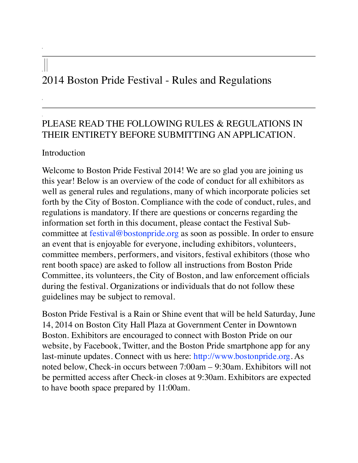## 2014 Boston Pride Festival - Rules and Regulations

## PLEASE READ THE FOLLOWING RULES & REGULATIONS IN THEIR ENTIRETY BEFORE SUBMITTING AN APPLICATION.

## Introduction

Welcome to Boston Pride Festival 2014! We are so glad you are joining us this year! Below is an overview of the code of conduct for all exhibitors as well as general rules and regulations, many of which incorporate policies set forth by the City of Boston. Compliance with the code of conduct, rules, and regulations is mandatory. If there are questions or concerns regarding the information set forth in this document, please contact the Festival Subcommittee at festival@bostonpride.org as soon as possible. In order to ensure an event that is enjoyable for everyone, including exhibitors, volunteers, committee members, performers, and visitors, festival exhibitors (those who rent booth space) are asked to follow all instructions from Boston Pride Committee, its volunteers, the City of Boston, and law enforcement officials during the festival. Organizations or individuals that do not follow these guidelines may be subject to removal.

Boston Pride Festival is a Rain or Shine event that will be held Saturday, June 14, 2014 on Boston City Hall Plaza at Government Center in Downtown Boston. Exhibitors are encouraged to connect with Boston Pride on our website, by Facebook, Twitter, and the Boston Pride smartphone app for any last-minute updates. Connect with us here: http://www.bostonpride.org. As noted below, Check-in occurs between 7:00am – 9:30am. Exhibitors will not be permitted access after Check-in closes at 9:30am. Exhibitors are expected to have booth space prepared by 11:00am.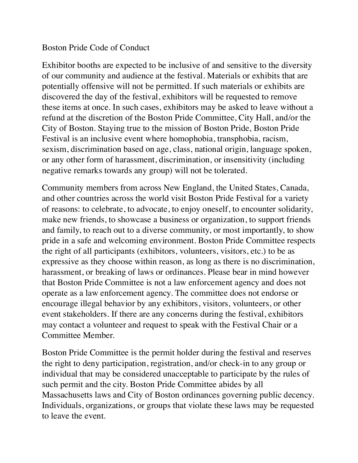## Boston Pride Code of Conduct

Exhibitor booths are expected to be inclusive of and sensitive to the diversity of our community and audience at the festival. Materials or exhibits that are potentially offensive will not be permitted. If such materials or exhibits are discovered the day of the festival, exhibitors will be requested to remove these items at once. In such cases, exhibitors may be asked to leave without a refund at the discretion of the Boston Pride Committee, City Hall, and/or the City of Boston. Staying true to the mission of Boston Pride, Boston Pride Festival is an inclusive event where homophobia, transphobia, racism, sexism, discrimination based on age, class, national origin, language spoken, or any other form of harassment, discrimination, or insensitivity (including negative remarks towards any group) will not be tolerated.

Community members from across New England, the United States, Canada, and other countries across the world visit Boston Pride Festival for a variety of reasons: to celebrate, to advocate, to enjoy oneself, to encounter solidarity, make new friends, to showcase a business or organization, to support friends and family, to reach out to a diverse community, or most importantly, to show pride in a safe and welcoming environment. Boston Pride Committee respects the right of all participants (exhibitors, volunteers, visitors, etc.) to be as expressive as they choose within reason, as long as there is no discrimination, harassment, or breaking of laws or ordinances. Please bear in mind however that Boston Pride Committee is not a law enforcement agency and does not operate as a law enforcement agency. The committee does not endorse or encourage illegal behavior by any exhibitors, visitors, volunteers, or other event stakeholders. If there are any concerns during the festival, exhibitors may contact a volunteer and request to speak with the Festival Chair or a Committee Member.

Boston Pride Committee is the permit holder during the festival and reserves the right to deny participation, registration, and/or check-in to any group or individual that may be considered unacceptable to participate by the rules of such permit and the city. Boston Pride Committee abides by all Massachusetts laws and City of Boston ordinances governing public decency. Individuals, organizations, or groups that violate these laws may be requested to leave the event.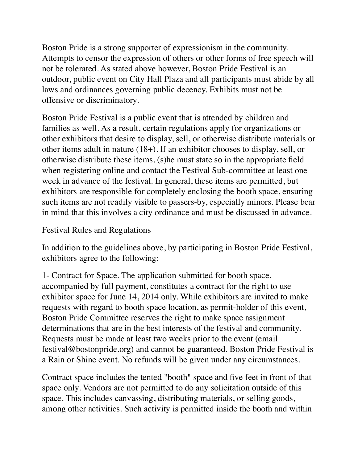Boston Pride is a strong supporter of expressionism in the community. Attempts to censor the expression of others or other forms of free speech will not be tolerated. As stated above however, Boston Pride Festival is an outdoor, public event on City Hall Plaza and all participants must abide by all laws and ordinances governing public decency. Exhibits must not be offensive or discriminatory.

Boston Pride Festival is a public event that is attended by children and families as well. As a result, certain regulations apply for organizations or other exhibitors that desire to display, sell, or otherwise distribute materials or other items adult in nature (18+). If an exhibitor chooses to display, sell, or otherwise distribute these items, (s)he must state so in the appropriate field when registering online and contact the Festival Sub-committee at least one week in advance of the festival. In general, these items are permitted, but exhibitors are responsible for completely enclosing the booth space, ensuring such items are not readily visible to passers-by, especially minors. Please bear in mind that this involves a city ordinance and must be discussed in advance.

Festival Rules and Regulations

In addition to the guidelines above, by participating in Boston Pride Festival, exhibitors agree to the following:

1- Contract for Space. The application submitted for booth space, accompanied by full payment, constitutes a contract for the right to use exhibitor space for June 14, 2014 only. While exhibitors are invited to make requests with regard to booth space location, as permit-holder of this event, Boston Pride Committee reserves the right to make space assignment determinations that are in the best interests of the festival and community. Requests must be made at least two weeks prior to the event (email festival@bostonpride.org) and cannot be guaranteed. Boston Pride Festival is a Rain or Shine event. No refunds will be given under any circumstances.

Contract space includes the tented "booth" space and five feet in front of that space only. Vendors are not permitted to do any solicitation outside of this space. This includes canvassing, distributing materials, or selling goods, among other activities. Such activity is permitted inside the booth and within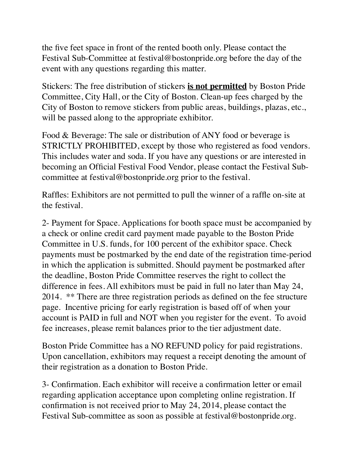the five feet space in front of the rented booth only. Please contact the Festival Sub-Committee at festival@bostonpride.org before the day of the event with any questions regarding this matter.

Stickers: The free distribution of stickers **is not permitted** by Boston Pride Committee, City Hall, or the City of Boston. Clean-up fees charged by the City of Boston to remove stickers from public areas, buildings, plazas, etc., will be passed along to the appropriate exhibitor.

Food & Beverage: The sale or distribution of ANY food or beverage is STRICTLY PROHIBITED, except by those who registered as food vendors. This includes water and soda. If you have any questions or are interested in becoming an Official Festival Food Vendor, please contact the Festival Subcommittee at festival@bostonpride.org prior to the festival.

Raffles: Exhibitors are not permitted to pull the winner of a raffle on-site at the festival.

2- Payment for Space. Applications for booth space must be accompanied by a check or online credit card payment made payable to the Boston Pride Committee in U.S. funds, for 100 percent of the exhibitor space. Check payments must be postmarked by the end date of the registration time-period in which the application is submitted. Should payment be postmarked after the deadline, Boston Pride Committee reserves the right to collect the difference in fees. All exhibitors must be paid in full no later than May 24, 2014. \*\* There are three registration periods as defined on the fee structure page. Incentive pricing for early registration is based off of when your account is PAID in full and NOT when you register for the event. To avoid fee increases, please remit balances prior to the tier adjustment date.

Boston Pride Committee has a NO REFUND policy for paid registrations. Upon cancellation, exhibitors may request a receipt denoting the amount of their registration as a donation to Boston Pride.

3- Confirmation. Each exhibitor will receive a confirmation letter or email regarding application acceptance upon completing online registration. If confirmation is not received prior to May 24, 2014, please contact the Festival Sub-committee as soon as possible at festival@bostonpride.org.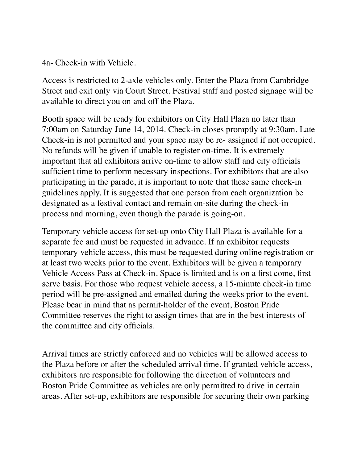4a- Check-in with Vehicle.

Access is restricted to 2-axle vehicles only. Enter the Plaza from Cambridge Street and exit only via Court Street. Festival staff and posted signage will be available to direct you on and off the Plaza.

Booth space will be ready for exhibitors on City Hall Plaza no later than 7:00am on Saturday June 14, 2014. Check-in closes promptly at 9:30am. Late Check-in is not permitted and your space may be re- assigned if not occupied. No refunds will be given if unable to register on-time. It is extremely important that all exhibitors arrive on-time to allow staff and city officials sufficient time to perform necessary inspections. For exhibitors that are also participating in the parade, it is important to note that these same check-in guidelines apply. It is suggested that one person from each organization be designated as a festival contact and remain on-site during the check-in process and morning, even though the parade is going-on.

Temporary vehicle access for set-up onto City Hall Plaza is available for a separate fee and must be requested in advance. If an exhibitor requests temporary vehicle access, this must be requested during online registration or at least two weeks prior to the event. Exhibitors will be given a temporary Vehicle Access Pass at Check-in. Space is limited and is on a first come, first serve basis. For those who request vehicle access, a 15-minute check-in time period will be pre-assigned and emailed during the weeks prior to the event. Please bear in mind that as permit-holder of the event, Boston Pride Committee reserves the right to assign times that are in the best interests of the committee and city officials.

Arrival times are strictly enforced and no vehicles will be allowed access to the Plaza before or after the scheduled arrival time. If granted vehicle access, exhibitors are responsible for following the direction of volunteers and Boston Pride Committee as vehicles are only permitted to drive in certain areas. After set-up, exhibitors are responsible for securing their own parking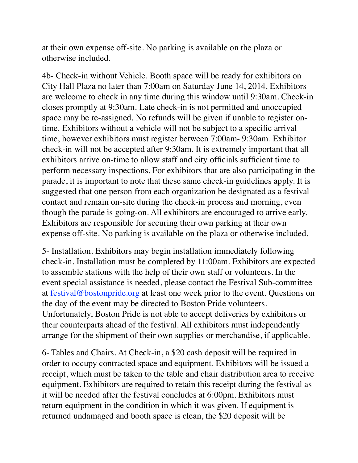at their own expense off-site. No parking is available on the plaza or otherwise included.

4b- Check-in without Vehicle. Booth space will be ready for exhibitors on City Hall Plaza no later than 7:00am on Saturday June 14, 2014. Exhibitors are welcome to check in any time during this window until 9:30am. Check-in closes promptly at 9:30am. Late check-in is not permitted and unoccupied space may be re-assigned. No refunds will be given if unable to register ontime. Exhibitors without a vehicle will not be subject to a specific arrival time, however exhibitors must register between 7:00am- 9:30am. Exhibitor check-in will not be accepted after 9:30am. It is extremely important that all exhibitors arrive on-time to allow staff and city officials sufficient time to perform necessary inspections. For exhibitors that are also participating in the parade, it is important to note that these same check-in guidelines apply. It is suggested that one person from each organization be designated as a festival contact and remain on-site during the check-in process and morning, even though the parade is going-on. All exhibitors are encouraged to arrive early. Exhibitors are responsible for securing their own parking at their own expense off-site. No parking is available on the plaza or otherwise included.

5- Installation. Exhibitors may begin installation immediately following check-in. Installation must be completed by 11:00am. Exhibitors are expected to assemble stations with the help of their own staff or volunteers. In the event special assistance is needed, please contact the Festival Sub-committee at festival@bostonpride.org at least one week prior to the event. Questions on the day of the event may be directed to Boston Pride volunteers. Unfortunately, Boston Pride is not able to accept deliveries by exhibitors or their counterparts ahead of the festival. All exhibitors must independently arrange for the shipment of their own supplies or merchandise, if applicable.

6- Tables and Chairs. At Check-in, a \$20 cash deposit will be required in order to occupy contracted space and equipment. Exhibitors will be issued a receipt, which must be taken to the table and chair distribution area to receive equipment. Exhibitors are required to retain this receipt during the festival as it will be needed after the festival concludes at 6:00pm. Exhibitors must return equipment in the condition in which it was given. If equipment is returned undamaged and booth space is clean, the \$20 deposit will be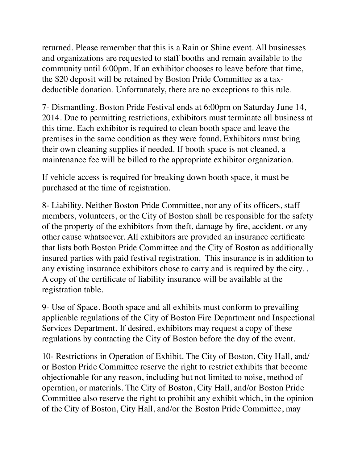returned. Please remember that this is a Rain or Shine event. All businesses and organizations are requested to staff booths and remain available to the community until 6:00pm. If an exhibitor chooses to leave before that time, the \$20 deposit will be retained by Boston Pride Committee as a taxdeductible donation. Unfortunately, there are no exceptions to this rule.

7- Dismantling. Boston Pride Festival ends at 6:00pm on Saturday June 14, 2014. Due to permitting restrictions, exhibitors must terminate all business at this time. Each exhibitor is required to clean booth space and leave the premises in the same condition as they were found. Exhibitors must bring their own cleaning supplies if needed. If booth space is not cleaned, a maintenance fee will be billed to the appropriate exhibitor organization.

If vehicle access is required for breaking down booth space, it must be purchased at the time of registration.

8- Liability. Neither Boston Pride Committee, nor any of its officers, staff members, volunteers, or the City of Boston shall be responsible for the safety of the property of the exhibitors from theft, damage by fire, accident, or any other cause whatsoever. All exhibitors are provided an insurance certificate that lists both Boston Pride Committee and the City of Boston as additionally insured parties with paid festival registration. This insurance is in addition to any existing insurance exhibitors chose to carry and is required by the city. . A copy of the certificate of liability insurance will be available at the registration table.

9- Use of Space. Booth space and all exhibits must conform to prevailing applicable regulations of the City of Boston Fire Department and Inspectional Services Department. If desired, exhibitors may request a copy of these regulations by contacting the City of Boston before the day of the event.

10- Restrictions in Operation of Exhibit. The City of Boston, City Hall, and/ or Boston Pride Committee reserve the right to restrict exhibits that become objectionable for any reason, including but not limited to noise, method of operation, or materials. The City of Boston, City Hall, and/or Boston Pride Committee also reserve the right to prohibit any exhibit which, in the opinion of the City of Boston, City Hall, and/or the Boston Pride Committee, may